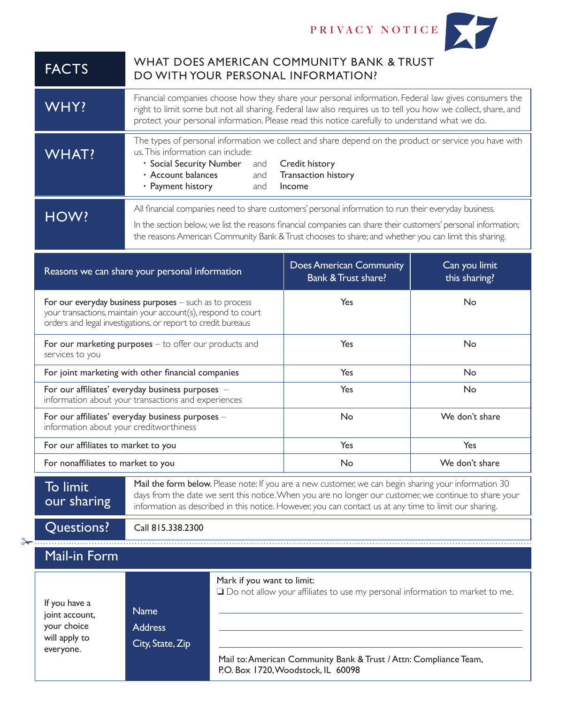

| <b>FACTS</b>                                                                                            | WHAT DOES AMERICAN COMMUNITY BANK & TRUST<br>DO WITH YOUR PERSONAL INFORMATION?                                                                                                                                                                                                                                           |                                                                                                                                                                                                                              |                                |  |
|---------------------------------------------------------------------------------------------------------|---------------------------------------------------------------------------------------------------------------------------------------------------------------------------------------------------------------------------------------------------------------------------------------------------------------------------|------------------------------------------------------------------------------------------------------------------------------------------------------------------------------------------------------------------------------|--------------------------------|--|
| WHY!                                                                                                    | Financial companies choose how they share your personal information. Federal law gives consumers the<br>right to limit some but not all sharing. Federal law also requires us to tell you how we collect, share, and<br>protect your personal information. Please read this notice carefully to understand what we do.    |                                                                                                                                                                                                                              |                                |  |
| <b>WHAT?</b>                                                                                            | us. This information can include:<br>· Social Security Number<br>and<br>· Account balances<br>and<br>· Payment history<br>and                                                                                                                                                                                             | The types of personal information we collect and share depend on the product or service you have with<br>Credit history<br>Transaction history<br>Income                                                                     |                                |  |
|                                                                                                         | All financial companies need to share customers' personal information to run their everyday business.                                                                                                                                                                                                                     |                                                                                                                                                                                                                              |                                |  |
| HOW?                                                                                                    | In the section below, we list the reasons financial companies can share their customers' personal information;<br>the reasons American Community Bank & Trust chooses to share; and whether you can limit this sharing.                                                                                                   |                                                                                                                                                                                                                              |                                |  |
|                                                                                                         | Reasons we can share your personal information                                                                                                                                                                                                                                                                            |                                                                                                                                                                                                                              | Can you limit<br>this sharing? |  |
|                                                                                                         | For our everyday business purposes $-$ such as to process<br>your transactions, maintain your account(s), respond to court<br>orders and legal investigations, or report to credit bureaus                                                                                                                                | Yes                                                                                                                                                                                                                          | No                             |  |
| services to you                                                                                         | For our marketing purposes - to offer our products and                                                                                                                                                                                                                                                                    |                                                                                                                                                                                                                              | No                             |  |
|                                                                                                         | For joint marketing with other financial companies                                                                                                                                                                                                                                                                        |                                                                                                                                                                                                                              | No                             |  |
| For our affiliates' everyday business purposes -<br>information about your transactions and experiences |                                                                                                                                                                                                                                                                                                                           | Yes                                                                                                                                                                                                                          | No                             |  |
| For our affiliates' everyday business purposes -<br>information about your creditworthiness             |                                                                                                                                                                                                                                                                                                                           | No                                                                                                                                                                                                                           | We don't share                 |  |
| For our affiliates to market to you                                                                     |                                                                                                                                                                                                                                                                                                                           | Yes                                                                                                                                                                                                                          | Yes                            |  |
| For nonaffiliates to market to you                                                                      |                                                                                                                                                                                                                                                                                                                           | No                                                                                                                                                                                                                           | We don't share                 |  |
| To limit<br>our sharing                                                                                 | Mail the form below. Please note: If you are a new customer, we can begin sharing your information 30<br>days from the date we sent this notice. When you are no longer our customer, we continue to share your<br>information as described in this notice. However, you can contact us at any time to limit our sharing. |                                                                                                                                                                                                                              |                                |  |
| Questions?                                                                                              | Call 815.338.2300                                                                                                                                                                                                                                                                                                         |                                                                                                                                                                                                                              |                                |  |
| <b>Mail-in Form</b>                                                                                     |                                                                                                                                                                                                                                                                                                                           |                                                                                                                                                                                                                              |                                |  |
| If you have a<br>joint account,<br>your choice<br>will apply to<br>everyone.                            | <b>Name</b><br><b>Address</b><br>City, State, Zip                                                                                                                                                                                                                                                                         | Mark if you want to limit:<br>$\Box$ Do not allow your affiliates to use my personal information to market to me.<br>Mail to: American Community Bank & Trust / Attn: Compliance Team,<br>P.O. Box 1720, Woodstock, IL 60098 |                                |  |